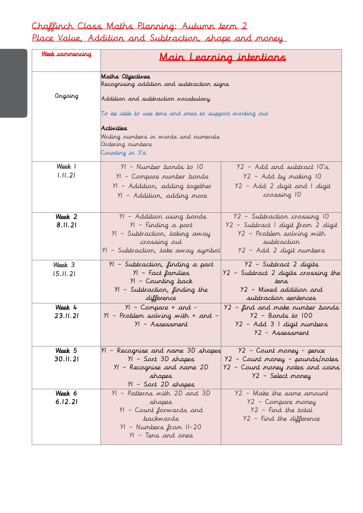## Chaffinch Class Maths Planning: Autumn term 2

Place Value, Addition and Subtraction, shape and money

| Week commencing    | <u>Main Learning intentions</u>                                                                                                                                                                                                                                |                                                                                                                                            |
|--------------------|----------------------------------------------------------------------------------------------------------------------------------------------------------------------------------------------------------------------------------------------------------------|--------------------------------------------------------------------------------------------------------------------------------------------|
| Ongoing            | Maths Objectives<br>Recognising addition and subtraction signs<br>Addition and subtraction vocabulary.<br>To be able to use tens and ones to support working out<br>Activities<br>Writing numbers in words and numerals<br>Ordering numbers<br>Counting in 3's |                                                                                                                                            |
| Week 1<br>1.11.21  | $YI - Number bonds to 10$<br>YI – Compare rumber bonds<br>YI – Addition, adding together<br>YI – Addition, adding more                                                                                                                                         | Y2 - Add and subtract 10's<br>Y2 - Add by making 10<br>Y2 - Add 2 digit and I digit<br>crossing 10                                         |
| Week 2<br>8.11.21  | YI - Addition using bonds<br>YI - Finding a part<br>YI - Subtraction, taking away<br>crossing out<br>YI - Subtraction, take away symbol                                                                                                                        | Y2 - Subtraction crossing 10<br>Y2 – Subtract I digit from 2 digit<br>Y2 - Problem solving with<br>subtraction<br>Y2 – Add 2 digit rumbers |
| Week 3<br>15.11.21 | YI – Subtraction, finding a part<br>YI – Fact families<br>YI - Counting back<br>YI – Subtraction, finding the<br>difference                                                                                                                                    | Y2 - Subtract 2 digits<br>Y2 – Subtract 2 digits crossing the<br>ters<br>Y2 - Mixed addition and<br>subtraction sentences                  |
| Week 4<br>23.II.21 | $YI - Compare + and -$<br>$YI - Problem solving with + and -$<br>YI - Assessment                                                                                                                                                                               | $Y2$ – find and make number bonds<br>$Y2 -$ Bards to $100$<br>Y2 - Add 3 I digit numbers<br>Y2 - Assessment                                |
| Week 5<br>30.11.21 | 11 - Recognise and rame 3D shapes<br>YI - Sort 3D shapes<br>YI - Recognise and name 2D<br>shapes<br>YI – Sort 2D shapes                                                                                                                                        | Y2 - Count money - pence<br>92 – Count money – pounds/notes<br>92 – Count money notes and coins<br>Y2 - Select money                       |
| Week 6<br>6.12.21  | YI - Patterns with 2D and 3D<br>shapes<br>YI - Count forwards and<br><b>backwards</b><br>YI - Numbers from II-20<br>YI - Tens and ones                                                                                                                         | Y2 - Make the same amount<br>Y2 - Compare money<br>$Y2$ - Find the total<br>Y2 - Find the difference                                       |